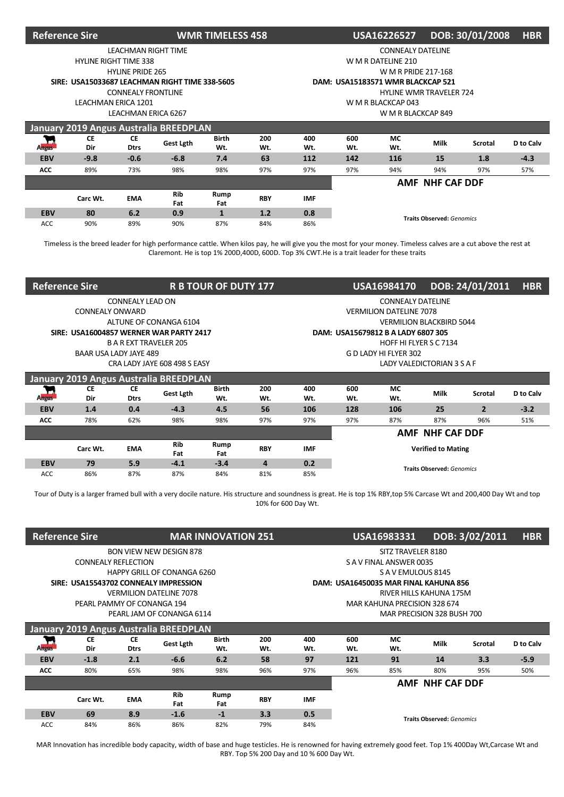| <b>Reference Sire</b> |                              |                           |                                                | <b>WMR TIMELESS 458</b> |            | DOB: 30/01/2008<br>USA16226527<br><b>HBR</b> |                                                                |                                   |                                |     |        |  |  |
|-----------------------|------------------------------|---------------------------|------------------------------------------------|-------------------------|------------|----------------------------------------------|----------------------------------------------------------------|-----------------------------------|--------------------------------|-----|--------|--|--|
|                       |                              | LEACHMAN RIGHT TIME       |                                                |                         |            |                                              |                                                                | <b>CONNEALY DATELINE</b>          |                                |     |        |  |  |
|                       | <b>HYLINE RIGHT TIME 338</b> |                           |                                                |                         |            |                                              |                                                                | W M R DATELINE 210                |                                |     |        |  |  |
|                       |                              | <b>HYLINE PRIDE 265</b>   |                                                |                         |            |                                              |                                                                | W M R PRIDE 217-168               |                                |     |        |  |  |
|                       |                              |                           | SIRE: USA15033687 LEACHMAN RIGHT TIME 338-5605 |                         |            |                                              |                                                                | DAM: USA15183571 WMR BLACKCAP 521 |                                |     |        |  |  |
|                       |                              | <b>CONNEALY FRONTLINE</b> |                                                |                         |            |                                              |                                                                |                                   | <b>HYLINE WMR TRAVELER 724</b> |     |        |  |  |
|                       | LEACHMAN ERICA 1201          |                           |                                                |                         |            | W M R BLACKCAP 043                           |                                                                |                                   |                                |     |        |  |  |
|                       |                              | LEACHMAN ERICA 6267       |                                                |                         |            |                                              | W M R BLACKCAP 849                                             |                                   |                                |     |        |  |  |
|                       |                              |                           | January 2019 Angus Australia BREEDPLAN         |                         |            |                                              |                                                                |                                   |                                |     |        |  |  |
| ┳<br><b>Angus</b>     | <b>CE</b><br>Dir             | <b>CE</b><br><b>Dtrs</b>  | Gest Lgth                                      | <b>Birth</b><br>Wt.     | 200<br>Wt. | 400<br>Wt.                                   | МC<br>600<br><b>Milk</b><br>D to Calv<br>Scrotal<br>Wt.<br>Wt. |                                   |                                |     |        |  |  |
| <b>EBV</b>            | $-9.8$                       | $-0.6$                    | $-6.8$                                         | 7.4                     | 63         | 112                                          | 142                                                            | 116                               | 15                             | 1.8 | $-4.3$ |  |  |
| ACC                   | 89%                          | 73%                       | 98%                                            | 98%                     | 97%        | 97%                                          | 97%                                                            | 94%                               | 94%                            | 97% | 57%    |  |  |
|                       |                              |                           |                                                |                         |            |                                              | AMF NHF CAF DDF                                                |                                   |                                |     |        |  |  |
|                       | Carc Wt.                     | <b>EMA</b>                | Rib<br>Fat                                     | Rump<br>Fat             | <b>RBY</b> | <b>IMF</b>                                   |                                                                |                                   |                                |     |        |  |  |
| <b>EBV</b>            | 80                           | 6.2                       | 0.9                                            | $\mathbf{1}$            | 1.2        | 0.8                                          |                                                                |                                   |                                |     |        |  |  |
| ACC                   | 90%                          | 89%                       | 90%                                            | 87%                     | 84%        | 86%                                          | <b>Traits Observed: Genomics</b>                               |                                   |                                |     |        |  |  |

Timeless is the breed leader for high performance cattle. When kilos pay, he will give you the most for your money. Timeless calves are a cut above the rest at Claremont. He is top 1% 200D,400D, 600D. Top 3% CWT.He is a trait leader for these traits

| <b>Reference Sire</b> |                                         |                               |                              | <b>R B TOUR OF DUTY 177</b> |            |                            |                                                                | USA16984170                    | DOB: 24/01/2011                  | <b>HBR</b>     |        |  |
|-----------------------|-----------------------------------------|-------------------------------|------------------------------|-----------------------------|------------|----------------------------|----------------------------------------------------------------|--------------------------------|----------------------------------|----------------|--------|--|
|                       |                                         | CONNEALY LEAD ON              |                              |                             |            |                            |                                                                | <b>CONNEALY DATELINE</b>       |                                  |                |        |  |
|                       | <b>CONNEALY ONWARD</b>                  |                               |                              |                             |            |                            |                                                                | <b>VERMILION DATELINE 7078</b> |                                  |                |        |  |
|                       |                                         |                               | ALTUNE OF CONANGA 6104       |                             |            |                            |                                                                |                                | <b>VERMILION BLACKBIRD 5044</b>  |                |        |  |
|                       | SIRE: USA16004857 WERNER WAR PARTY 2417 |                               |                              |                             |            | DAM:                       |                                                                | USA15679812 B A LADY 6807 305  |                                  |                |        |  |
|                       |                                         | <b>B A R EXT TRAVELER 205</b> |                              |                             |            |                            |                                                                | HOFF HI FLYER S C 7134         |                                  |                |        |  |
|                       | BAAR USA LADY JAYE 489                  |                               |                              |                             |            |                            |                                                                | G D LADY HI FLYER 302          |                                  |                |        |  |
|                       |                                         |                               | CRA LADY JAYE 608 498 S EASY |                             |            | LADY VALEDICTORIAN 3 S A F |                                                                |                                |                                  |                |        |  |
|                       | January 2019 Angus Australia BREEDPLAN  |                               |                              |                             |            |                            |                                                                |                                |                                  |                |        |  |
| П<br><b>Angus</b>     | <b>CE</b><br>Dir                        | СE<br><b>Dtrs</b>             | Gest Lgth                    | <b>Birth</b><br>Wt.         | 200<br>Wt. | 400<br>Wt.                 | 600<br><b>MC</b><br>Milk<br>Scrotal<br>D to Calv<br>Wt.<br>Wt. |                                |                                  |                |        |  |
| <b>EBV</b>            | 1.4                                     | 0.4                           | $-4.3$                       | 4.5                         | 56         | 106                        | 128                                                            | 106                            | 25                               | $\overline{2}$ | $-3.2$ |  |
| <b>ACC</b>            | 78%                                     | 62%                           | 98%                          | 98%                         | 97%        | 97%                        | 97%                                                            | 87%                            | 87%                              | 96%            | 51%    |  |
|                       |                                         |                               |                              |                             |            |                            | AMF NHF CAF DDF                                                |                                |                                  |                |        |  |
|                       | Carc Wt.                                | <b>EMA</b>                    | <b>Rib</b><br>Fat            | Rump<br>Fat                 | <b>RBY</b> | <b>IMF</b>                 | <b>Verified to Mating</b>                                      |                                |                                  |                |        |  |
| <b>EBV</b>            | 79                                      | 5.9                           | $-4.1$                       | $-3.4$                      | 4          | 0.2                        |                                                                |                                | <b>Traits Observed: Genomics</b> |                |        |  |
| <b>ACC</b>            | 86%                                     | 87%                           | 87%                          | 84%                         | 81%        | 85%                        |                                                                |                                |                                  |                |        |  |

Tour of Duty is a larger framed bull with a very docile nature. His structure and soundness is great. He is top 1% RBY,top 5% Carcase Wt and 200,400 Day Wt and top 10% for 600 Day Wt.

| <b>Reference Sire</b> |                            |                          |                                        | <b>MAR INNOVATION 251</b> |            |            |                                                                       | USA16983331                           |                         | DOB: 3/02/2011<br><b>HBR</b> |        |  |  |  |  |
|-----------------------|----------------------------|--------------------------|----------------------------------------|---------------------------|------------|------------|-----------------------------------------------------------------------|---------------------------------------|-------------------------|------------------------------|--------|--|--|--|--|
|                       |                            |                          | <b>BON VIEW NEW DESIGN 878</b>         |                           |            |            |                                                                       | SITZ TRAVELER 8180                    |                         |                              |        |  |  |  |  |
|                       | <b>CONNEALY REFLECTION</b> |                          |                                        |                           |            |            |                                                                       | S A V FINAL ANSWER 0035               |                         |                              |        |  |  |  |  |
|                       |                            |                          | <b>HAPPY GRILL OF CONANGA 6260</b>     |                           |            |            |                                                                       | SAVEMULOUS 8145                       |                         |                              |        |  |  |  |  |
|                       |                            |                          | SIRE: USA15543702 CONNEALY IMPRESSION  |                           |            |            |                                                                       | DAM: USA16450035 MAR FINAL KAHUNA 856 |                         |                              |        |  |  |  |  |
|                       |                            |                          | <b>VERMILION DATELINE 7078</b>         |                           |            |            |                                                                       |                                       | RIVER HILLS KAHUNA 175M |                              |        |  |  |  |  |
|                       | PEARL PAMMY OF CONANGA 194 |                          |                                        |                           |            |            |                                                                       | MAR KAHUNA PRECISION 328 674          |                         |                              |        |  |  |  |  |
|                       |                            |                          | PEARL JAM OF CONANGA 6114              |                           |            |            | MAR PRECISION 328 BUSH 700                                            |                                       |                         |                              |        |  |  |  |  |
|                       |                            |                          | January 2019 Angus Australia BREEDPLAN |                           |            |            |                                                                       |                                       |                         |                              |        |  |  |  |  |
| <b>Angus</b>          | СE<br>Dir                  | <b>CE</b><br><b>Dtrs</b> | Gest Lgth                              | <b>Birth</b><br>Wt.       | 200<br>Wt. | 400<br>Wt. | <b>MC</b><br>600<br>Milk<br>D to Calv<br><b>Scrotal</b><br>Wt.<br>Wt. |                                       |                         |                              |        |  |  |  |  |
| <b>EBV</b>            | $-1.8$                     | 2.1                      | $-6.6$                                 | 6.2                       | 58         | 97         | 121                                                                   | 91                                    | 14                      | 3.3                          | $-5.9$ |  |  |  |  |
| <b>ACC</b>            | 80%                        | 65%                      | 98%                                    | 98%                       | 96%        | 97%        | 85%<br>50%<br>96%<br>80%<br>95%                                       |                                       |                         |                              |        |  |  |  |  |
|                       |                            |                          |                                        |                           |            |            | AMF NHF CAF DDF                                                       |                                       |                         |                              |        |  |  |  |  |
|                       | Carc Wt.                   | <b>EMA</b>               | <b>Rib</b><br>Fat                      | Rump<br>Fat               | <b>RBY</b> | <b>IMF</b> |                                                                       |                                       |                         |                              |        |  |  |  |  |
| <b>EBV</b>            | 69                         | 8.9                      | $-1.6$                                 | $-1$                      | 3.3        | 0.5        |                                                                       |                                       |                         |                              |        |  |  |  |  |
| <b>ACC</b>            | 84%                        | 86%                      | 86%                                    | 82%                       | 79%        | 84%        | <b>Traits Observed: Genomics</b>                                      |                                       |                         |                              |        |  |  |  |  |

MAR Innovation has incredible body capacity, width of base and huge testicles. He is renowned for having extremely good feet. Top 1% 400Day Wt,Carcase Wt and RBY. Top 5% 200 Day and 10 % 600 Day Wt.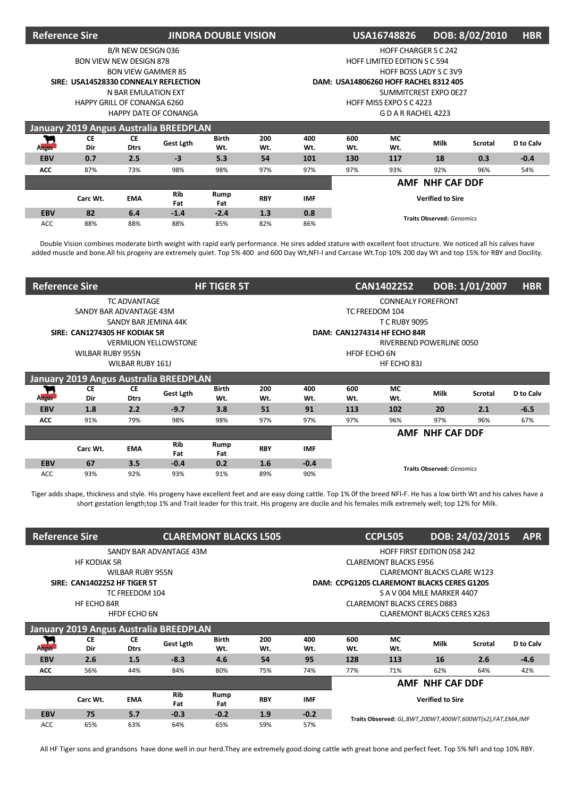| <b>Reference Sire</b> |                                       |                           |                                               | <b>JINDRA DOUBLE VISION</b> |            |                         | DOB: 8/02/2010<br><b>HBR</b><br><b>USA16748826</b><br><b>HOFF CHARGER S C 242</b> |                                       |                               |     |        |  |  |  |  |
|-----------------------|---------------------------------------|---------------------------|-----------------------------------------------|-----------------------------|------------|-------------------------|-----------------------------------------------------------------------------------|---------------------------------------|-------------------------------|-----|--------|--|--|--|--|
|                       |                                       | B/R NEW DESIGN 036        |                                               |                             |            |                         |                                                                                   |                                       |                               |     |        |  |  |  |  |
|                       | <b>BON VIEW NEW DESIGN 878</b>        |                           |                                               |                             |            |                         |                                                                                   | <b>HOFF LIMITED EDITION S C 594</b>   |                               |     |        |  |  |  |  |
|                       |                                       | <b>BON VIEW GAMMER 85</b> |                                               |                             |            |                         |                                                                                   |                                       | <b>HOFF BOSS LADY S C 3V9</b> |     |        |  |  |  |  |
|                       | SIRE: USA14528330 CONNEALY REFLECTION |                           |                                               |                             |            |                         |                                                                                   | DAM: USA14806260 HOFF RACHEL 8312 405 |                               |     |        |  |  |  |  |
|                       |                                       | N BAR EMULATION EXT       |                                               |                             |            |                         |                                                                                   |                                       | SUMMITCREST EXPO 0E27         |     |        |  |  |  |  |
|                       | HAPPY GRILL OF CONANGA 6260           |                           |                                               |                             |            | HOFF MISS EXPO S C 4223 |                                                                                   |                                       |                               |     |        |  |  |  |  |
|                       |                                       |                           | <b>HAPPY DATE OF CONANGA</b>                  |                             |            | GDARRACHEL4223          |                                                                                   |                                       |                               |     |        |  |  |  |  |
|                       |                                       |                           | <b>January 2019 Angus Australia BREEDPLAN</b> |                             |            |                         |                                                                                   |                                       |                               |     |        |  |  |  |  |
| <b>Angus</b>          | <b>CE</b><br>Dir                      | <b>CE</b><br><b>Dtrs</b>  | Gest Lgth                                     | <b>Birth</b><br>Wt.         | 200<br>Wt. | 400<br>Wt.              | 600<br><b>MC</b><br><b>Milk</b><br>D to Calv<br>Scrotal<br>Wt.<br>Wt.             |                                       |                               |     |        |  |  |  |  |
| <b>EBV</b>            | 0.7                                   | 2.5                       | $-3$                                          | 5.3                         | 54         | 101                     | 130                                                                               | 117                                   | 18                            | 0.3 | $-0.4$ |  |  |  |  |
| <b>ACC</b>            | 87%                                   | 73%                       | 98%                                           | 98%                         | 97%        | 97%                     | 97%                                                                               | 93%                                   | 92%                           | 96% | 54%    |  |  |  |  |
|                       |                                       |                           |                                               |                             |            |                         | AMF NHF CAF DDF                                                                   |                                       |                               |     |        |  |  |  |  |
|                       | Carc Wt.                              | <b>EMA</b>                | <b>Rib</b><br>Fat                             | Rump<br>Fat                 | <b>RBY</b> | IMF                     | <b>Verified to Sire</b>                                                           |                                       |                               |     |        |  |  |  |  |
| <b>EBV</b>            | 82                                    | 6.4                       | $-1.4$                                        | $-2.4$                      | 1.3        | 0.8                     |                                                                                   |                                       |                               |     |        |  |  |  |  |
|                       |                                       |                           |                                               |                             |            |                         | <b>Traits Observed: Genomics</b>                                                  |                                       |                               |     |        |  |  |  |  |

Double Vision combines moderate birth weight with rapid early performance. He sires added stature with excellent foot structure. We noticed all his calves have added muscle and bone.All his progeny are extremely quiet. Top 5% 400 and 600 Day Wt,NFI-I and Carcase Wt.Top 10% 200 day Wt and top 15% for RBY and Docility.

| <b>Reference Sire</b> |                                        |                          |                              | DOB: 1/01/2007<br><b>HBR</b><br><b>HF TIGER 5T</b><br><b>CAN1402252</b><br><b>CONNEALY FOREFRONT</b> |            |            |                                                                |                             |                                  |     |        |  |
|-----------------------|----------------------------------------|--------------------------|------------------------------|------------------------------------------------------------------------------------------------------|------------|------------|----------------------------------------------------------------|-----------------------------|----------------------------------|-----|--------|--|
|                       |                                        | <b>TC ADVANTAGE</b>      |                              |                                                                                                      |            |            |                                                                |                             |                                  |     |        |  |
|                       | SANDY BAR ADVANTAGE 43M                |                          |                              |                                                                                                      |            |            |                                                                | TC FREEDOM 104              |                                  |     |        |  |
|                       |                                        | SANDY BAR JEMINA 44K     |                              |                                                                                                      |            |            |                                                                | <b>T C RUBY 9095</b>        |                                  |     |        |  |
|                       | SIRE: CAN1274305 HF KODIAK 5R          |                          |                              |                                                                                                      |            |            |                                                                | DAM: CAN1274314 HF ECHO 84R |                                  |     |        |  |
|                       |                                        |                          | <b>VERMILION YELLOWSTONE</b> |                                                                                                      |            |            |                                                                |                             | RIVERBEND POWERLINE 0050         |     |        |  |
|                       | <b>WILBAR RUBY 955N</b>                |                          |                              |                                                                                                      |            |            | <b>HFDF ECHO 6N</b><br>HF ECHO 83J                             |                             |                                  |     |        |  |
| WILBAR RUBY 161J      |                                        |                          |                              |                                                                                                      |            |            |                                                                |                             |                                  |     |        |  |
|                       | January 2019 Angus Australia BREEDPLAN |                          |                              |                                                                                                      |            |            |                                                                |                             |                                  |     |        |  |
| n<br><b>Angus</b>     | <b>CE</b><br>Dir                       | <b>CE</b><br><b>Dtrs</b> | Gest Lgth                    | <b>Birth</b><br>Wt.                                                                                  | 200<br>Wt. | 400<br>Wt. | 600<br><b>MC</b><br>Milk<br>D to Calv<br>Scrotal<br>Wt.<br>Wt. |                             |                                  |     |        |  |
| <b>EBV</b>            | 1.8                                    | 2.2                      | $-9.7$                       | 3.8                                                                                                  | 51         | 91         | 113                                                            | 102                         | 20                               | 2.1 | $-6.5$ |  |
| ACC                   | 91%                                    | 79%                      | 98%                          | 98%                                                                                                  | 97%        | 97%        | 97%                                                            | 96%                         | 97%                              | 96% | 67%    |  |
|                       |                                        |                          |                              |                                                                                                      |            |            | AMF NHF CAF DDF                                                |                             |                                  |     |        |  |
|                       | Carc Wt.                               | <b>EMA</b>               | Rib<br>Fat                   | Rump<br>Fat                                                                                          | <b>RBY</b> | <b>IMF</b> |                                                                |                             |                                  |     |        |  |
| <b>EBV</b>            | 67                                     | 3.5                      | $-0.4$                       | 0.2                                                                                                  | 1.6        | $-0.4$     |                                                                |                             | <b>Traits Observed: Genomics</b> |     |        |  |
| <b>ACC</b>            | 93%                                    | 92%                      | 93%                          | 91%                                                                                                  | 89%        | 90%        |                                                                |                             |                                  |     |        |  |

Tiger adds shape, thickness and style. His progeny have excellent feet and are easy doing cattle. Top 1% 0f the breed NFI-F. He has a low birth Wt and his calves have a short gestation length;top 1% and Trait leader for this trait. His progeny are docile and his females milk extremely well; top 12% for Milk.

| <b>Reference Sire</b> |                                     |                          | <b>CLAREMONT BLACKS L505</b>           |                     |            |            | DOB: 24/02/2015<br><b>APR</b><br><b>CCPL505</b>                |                              |                                    |                                                           |        |  |  |  |
|-----------------------|-------------------------------------|--------------------------|----------------------------------------|---------------------|------------|------------|----------------------------------------------------------------|------------------------------|------------------------------------|-----------------------------------------------------------|--------|--|--|--|
|                       |                                     |                          | SANDY BAR ADVANTAGE 43M                |                     |            |            |                                                                |                              | <b>HOFF FIRST EDITION 058 242</b>  |                                                           |        |  |  |  |
|                       | <b>HF KODIAK 5R</b>                 |                          |                                        |                     |            |            |                                                                | <b>CLAREMONT BLACKS E956</b> |                                    |                                                           |        |  |  |  |
|                       |                                     | <b>WILBAR RUBY 955N</b>  |                                        |                     |            |            |                                                                |                              | <b>CLAREMONT BLACKS CLARE W123</b> |                                                           |        |  |  |  |
|                       | <b>SIRE: CAN1402252 HF TIGER 5T</b> |                          |                                        |                     |            |            | DAM: CCPG1205 CLAREMONT BLACKS CERES G1205                     |                              |                                    |                                                           |        |  |  |  |
|                       |                                     | TC FREEDOM 104           |                                        |                     |            |            |                                                                |                              | S A V 004 MILE MARKER 4407         |                                                           |        |  |  |  |
|                       | HF ECHO 84R                         |                          |                                        |                     |            |            | <b>CLAREMONT BLACKS CERES D883</b>                             |                              |                                    |                                                           |        |  |  |  |
|                       |                                     | <b>HFDF ECHO 6N</b>      |                                        |                     |            |            | <b>CLAREMONT BLACKS CERES X263</b>                             |                              |                                    |                                                           |        |  |  |  |
|                       |                                     |                          | January 2019 Angus Australia BREEDPLAN |                     |            |            |                                                                |                              |                                    |                                                           |        |  |  |  |
| П<br><b>Angus</b>     | <b>CE</b><br>Dir                    | <b>CE</b><br><b>Dtrs</b> | <b>Gest Lgth</b>                       | <b>Birth</b><br>Wt. | 200<br>Wt. | 400<br>Wt. | <b>MC</b><br>600<br>Milk<br>Scrotal<br>D to Calv<br>Wt.<br>Wt. |                              |                                    |                                                           |        |  |  |  |
| <b>EBV</b>            | 2.6                                 | 1.5                      | $-8.3$                                 | 4.6                 | 54         | 95         | 128                                                            | 113                          | 16                                 | 2.6                                                       | $-4.6$ |  |  |  |
| ACC                   | 56%                                 | 44%                      | 84%                                    | 80%                 | 75%        | 74%        | 77%                                                            | 71%                          | 62%                                | 64%                                                       | 42%    |  |  |  |
|                       |                                     |                          |                                        |                     |            |            | <b>AMF NHF CAF DDF</b>                                         |                              |                                    |                                                           |        |  |  |  |
|                       | Carc Wt.                            | <b>EMA</b>               | <b>Rib</b><br>Fat                      | Rump<br>Fat         | <b>RBY</b> | <b>IMF</b> | <b>Verified to Sire</b>                                        |                              |                                    |                                                           |        |  |  |  |
| <b>EBV</b>            | 75                                  | 5.7                      | $-0.3$                                 | $-0.2$              | 1.9        | $-0.2$     |                                                                |                              |                                    | Traits Observed: GL,BWT,200WT,400WT,600WT(x2),FAT,EMA,IMF |        |  |  |  |
| <b>ACC</b>            | 65%                                 | 63%                      | 64%                                    | 65%                 | 59%        | 57%        |                                                                |                              |                                    |                                                           |        |  |  |  |

All HF Tiger sons and grandsons have done well in our herd.They are extremely good doing cattle wth great bone and perfect feet. Top 5% NFI and top 10% RBY.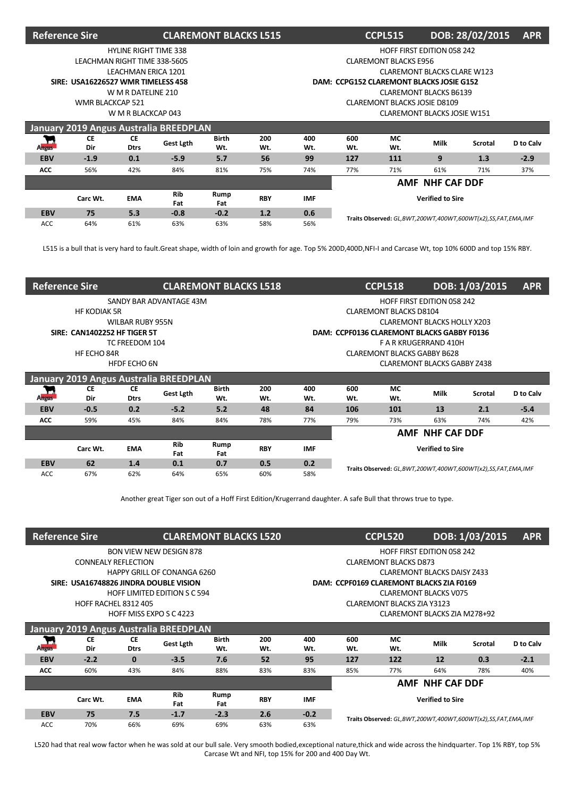| <b>Reference Sire</b> |                                    |                              |                                        | <b>CLAREMONT BLACKS L515</b> |            |            | DOB: 28/02/2015<br><b>APR</b><br><b>CCPL515</b><br><b>HOFF FIRST EDITION 058 242</b> |                              |                                    |     |        |  |  |  |  |
|-----------------------|------------------------------------|------------------------------|----------------------------------------|------------------------------|------------|------------|--------------------------------------------------------------------------------------|------------------------------|------------------------------------|-----|--------|--|--|--|--|
|                       |                                    | <b>HYLINE RIGHT TIME 338</b> |                                        |                              |            |            |                                                                                      |                              |                                    |     |        |  |  |  |  |
|                       | LEACHMAN RIGHT TIME 338-5605       |                              |                                        |                              |            |            |                                                                                      | <b>CLAREMONT BLACKS E956</b> |                                    |     |        |  |  |  |  |
|                       |                                    | LEACHMAN ERICA 1201          |                                        |                              |            |            |                                                                                      |                              | <b>CLAREMONT BLACKS CLARE W123</b> |     |        |  |  |  |  |
|                       | SIRE: USA16226527 WMR TIMELESS 458 |                              |                                        |                              |            |            | DAM: CCPG152 CLAREMONT BLACKS JOSIE G152                                             |                              |                                    |     |        |  |  |  |  |
|                       |                                    | W M R DATELINE 210           |                                        |                              |            |            |                                                                                      |                              | <b>CLAREMONT BLACKS B6139</b>      |     |        |  |  |  |  |
|                       | <b>WMR BLACKCAP 521</b>            |                              |                                        |                              |            |            |                                                                                      | CLAREMONT BLACKS JOSIE D8109 |                                    |     |        |  |  |  |  |
|                       |                                    | W M R BLACKCAP 043           |                                        |                              |            |            | <b>CLAREMONT BLACKS JOSIE W151</b>                                                   |                              |                                    |     |        |  |  |  |  |
|                       |                                    |                              | January 2019 Angus Australia BREEDPLAN |                              |            |            |                                                                                      |                              |                                    |     |        |  |  |  |  |
| ۳<br><b>Angus</b>     | <b>CE</b><br>Dir                   | <b>CE</b><br><b>Dtrs</b>     | Gest Lgth                              | <b>Birth</b><br>Wt.          | 200<br>Wt. | 400<br>Wt. | <b>MC</b><br>600<br>Milk<br>D to Calv<br>Scrotal<br>Wt.<br>Wt.                       |                              |                                    |     |        |  |  |  |  |
| <b>EBV</b>            | $-1.9$                             | 0.1                          | $-5.9$                                 | 5.7                          | 56         | 99         | 127                                                                                  | 111                          | 9                                  | 1.3 | $-2.9$ |  |  |  |  |
| <b>ACC</b>            | 56%                                | 42%                          | 84%                                    | 81%                          | 75%        | 74%        | 77%                                                                                  | 71%                          | 61%                                | 71% | 37%    |  |  |  |  |
|                       |                                    |                              |                                        |                              |            |            | AMF NHF CAF DDF                                                                      |                              |                                    |     |        |  |  |  |  |
|                       | Carc Wt.                           | <b>EMA</b>                   | <b>Rib</b><br>Fat                      | Rump<br>Fat                  | <b>RBY</b> | <b>IMF</b> | <b>Verified to Sire</b>                                                              |                              |                                    |     |        |  |  |  |  |
| <b>EBV</b>            | 75                                 | 5.3                          | $-0.8$                                 | $-0.2$                       | 1.2        | 0.6        |                                                                                      |                              |                                    |     |        |  |  |  |  |
| <b>ACC</b>            | 64%                                | 61%                          | 63%                                    | 63%                          | 58%        | 56%        | Traits Observed: GL,BWT,200WT,400WT,600WT(x2),SS,FAT,EMA,IMF                         |                              |                                    |     |        |  |  |  |  |

L515 is a bull that is very hard to fault.Great shape, width of loin and growth for age. Top 5% 200D,400D,NFI-I and Carcase Wt, top 10% 600D and top 15% RBY.

| <b>Reference Sire</b>        |                                     |                         |                                        | <b>CLAREMONT BLACKS L518</b> |            |            |                                                                       | <b>CCPL518</b>                | DOB: 1/03/2015<br><b>APR</b><br><b>HOFF FIRST EDITION 058 242</b> |     |        |  |  |  |
|------------------------------|-------------------------------------|-------------------------|----------------------------------------|------------------------------|------------|------------|-----------------------------------------------------------------------|-------------------------------|-------------------------------------------------------------------|-----|--------|--|--|--|
|                              |                                     |                         | SANDY BAR ADVANTAGE 43M                |                              |            |            |                                                                       |                               |                                                                   |     |        |  |  |  |
|                              | <b>HF KODIAK 5R</b>                 |                         |                                        |                              |            |            |                                                                       | <b>CLAREMONT BLACKS D8104</b> |                                                                   |     |        |  |  |  |
|                              |                                     | <b>WILBAR RUBY 955N</b> |                                        |                              |            |            |                                                                       |                               | <b>CLAREMONT BLACKS HOLLY X203</b>                                |     |        |  |  |  |
|                              | <b>SIRE: CAN1402252 HF TIGER 5T</b> |                         |                                        |                              |            |            | DAM: CCPF0136 CLAREMONT BLACKS GABBY F0136                            |                               |                                                                   |     |        |  |  |  |
|                              |                                     | TC FREEDOM 104          |                                        |                              |            |            |                                                                       |                               | F A R KRUGERRAND 410H                                             |     |        |  |  |  |
|                              | HF ECHO 84R                         |                         |                                        |                              |            |            | <b>CLAREMONT BLACKS GABBY B628</b>                                    |                               |                                                                   |     |        |  |  |  |
|                              |                                     | HFDF ECHO 6N            |                                        |                              |            |            | <b>CLAREMONT BLACKS GABBY Z438</b>                                    |                               |                                                                   |     |        |  |  |  |
|                              |                                     |                         | January 2019 Angus Australia BREEDPLAN |                              |            |            |                                                                       |                               |                                                                   |     |        |  |  |  |
| $\mathbf{r}$<br><b>Angus</b> | <b>CE</b><br>Dir                    | СE<br><b>Dtrs</b>       | <b>Gest Lgth</b>                       | Birth<br>Wt.                 | 200<br>Wt. | 400<br>Wt. | <b>MC</b><br>600<br><b>Milk</b><br>Scrotal<br>D to Calv<br>Wt.<br>Wt. |                               |                                                                   |     |        |  |  |  |
| <b>EBV</b>                   | $-0.5$                              | 0.2                     | $-5.2$                                 | 5.2                          | 48         | 84         | 106                                                                   | 101                           | 13                                                                | 2.1 | $-5.4$ |  |  |  |
| <b>ACC</b>                   | 59%                                 | 45%                     | 84%                                    | 84%                          | 78%        | 77%        | 79%                                                                   | 73%                           | 63%                                                               | 74% | 42%    |  |  |  |
|                              |                                     |                         |                                        |                              |            |            | <b>AMF NHF CAF DDF</b>                                                |                               |                                                                   |     |        |  |  |  |
|                              | Carc Wt.                            | <b>EMA</b>              | <b>Rib</b><br>Fat                      | Rump<br>Fat                  | <b>RBY</b> | <b>IMF</b> | <b>Verified to Sire</b>                                               |                               |                                                                   |     |        |  |  |  |
| <b>EBV</b>                   | 62                                  | 1.4                     | 0.1                                    | 0.7                          | 0.5        | 0.2        | Traits Observed: GL, BWT, 200WT, 400WT, 600WT(x2), SS, FAT, EMA, IMF  |                               |                                                                   |     |        |  |  |  |
| ACC.                         | 67%                                 | 62%                     | 64%                                    | 65%                          | 60%        | 58%        |                                                                       |                               |                                                                   |     |        |  |  |  |

Another great Tiger son out of a Hoff First Edition/Krugerrand daughter. A safe Bull that throws true to type.

| <b>Reference Sire</b> |                                        |                            |                                        | <b>CLAREMONT BLACKS L520</b> |            |            |                                                                      | <b>CCPL520</b>               |                              | DOB: 1/03/2015<br><b>APR</b><br><b>HOFF FIRST EDITION 058 242</b><br><b>CLAREMONT BLACKS DAISY Z433</b><br>DAM: CCPF0169 CLAREMONT BLACKS ZIA F0169 |        |  |  |  |  |
|-----------------------|----------------------------------------|----------------------------|----------------------------------------|------------------------------|------------|------------|----------------------------------------------------------------------|------------------------------|------------------------------|-----------------------------------------------------------------------------------------------------------------------------------------------------|--------|--|--|--|--|
|                       |                                        |                            | <b>BON VIEW NEW DESIGN 878</b>         |                              |            |            |                                                                      |                              |                              |                                                                                                                                                     |        |  |  |  |  |
|                       |                                        | <b>CONNEALY REFLECTION</b> |                                        |                              |            |            |                                                                      | <b>CLAREMONT BLACKS D873</b> |                              |                                                                                                                                                     |        |  |  |  |  |
|                       |                                        |                            | HAPPY GRILL OF CONANGA 6260            |                              |            |            |                                                                      |                              |                              |                                                                                                                                                     |        |  |  |  |  |
|                       | SIRE: USA16748826 JINDRA DOUBLE VISION |                            |                                        |                              |            |            |                                                                      |                              |                              |                                                                                                                                                     |        |  |  |  |  |
|                       |                                        |                            | <b>HOFF LIMITED EDITION S C 594</b>    |                              |            |            |                                                                      |                              | <b>CLAREMONT BLACKS V075</b> |                                                                                                                                                     |        |  |  |  |  |
|                       | <b>HOFF RACHEL 8312 405</b>            |                            |                                        |                              |            |            | <b>CLAREMONT BLACKS ZIA Y3123</b><br>CLAREMONT BLACKS ZIA M278+92    |                              |                              |                                                                                                                                                     |        |  |  |  |  |
|                       |                                        | HOFF MISS EXPO S C 4223    |                                        |                              |            |            |                                                                      | <b>MC</b><br>600             |                              |                                                                                                                                                     |        |  |  |  |  |
|                       |                                        |                            | January 2019 Angus Australia BREEDPLAN |                              |            |            |                                                                      |                              |                              |                                                                                                                                                     |        |  |  |  |  |
| т,<br><b>Angus</b>    | <b>CE</b><br>Dir                       | <b>CE</b><br><b>Dtrs</b>   | Gest Lgth                              | <b>Birth</b><br>Wt.          | 200<br>Wt. | 400<br>Wt. | Milk<br>D to Calv<br><b>Scrotal</b><br>Wt.<br>Wt.                    |                              |                              |                                                                                                                                                     |        |  |  |  |  |
| <b>EBV</b>            | $-2.2$                                 | $\bf{0}$                   | $-3.5$                                 | 7.6                          | 52         | 95         | 127                                                                  | 122                          | 12                           | 0.3                                                                                                                                                 | $-2.1$ |  |  |  |  |
| ACC                   | 60%                                    | 43%                        | 84%                                    | 88%                          | 83%        | 83%        | 85%<br>77%<br>64%<br>78%<br>40%                                      |                              |                              |                                                                                                                                                     |        |  |  |  |  |
|                       |                                        |                            |                                        |                              |            |            | <b>AMF NHF CAF DDF</b>                                               |                              |                              |                                                                                                                                                     |        |  |  |  |  |
|                       | Carc Wt.                               | <b>EMA</b>                 | <b>Rib</b><br>Fat                      | Rump<br>Fat                  | <b>RBY</b> | <b>IMF</b> | <b>Verified to Sire</b>                                              |                              |                              |                                                                                                                                                     |        |  |  |  |  |
| <b>EBV</b>            | 75                                     | 7.5                        | $-1.7$                                 | $-2.3$                       | 2.6        | $-0.2$     | Traits Observed: GL, BWT, 200WT, 400WT, 600WT(x2), SS, FAT, EMA, IMF |                              |                              |                                                                                                                                                     |        |  |  |  |  |
| <b>ACC</b>            | 70%                                    | 66%                        | 69%                                    | 69%                          | 63%        | 63%        |                                                                      |                              |                              |                                                                                                                                                     |        |  |  |  |  |

L520 had that real wow factor when he was sold at our bull sale. Very smooth bodied,exceptional nature,thick and wide across the hindquarter. Top 1% RBY, top 5% Carcase Wt and NFI, top 15% for 200 and 400 Day Wt.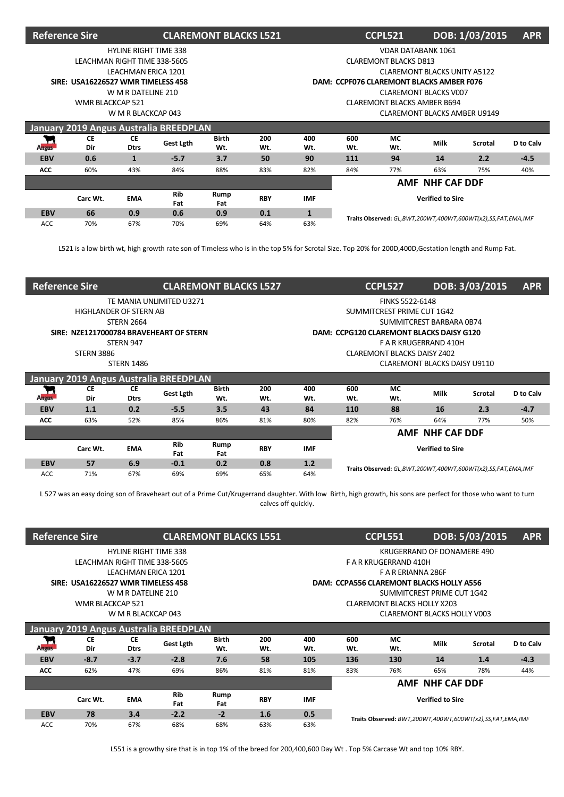| <b>Reference Sire</b> |                                    |                              |                                        | <b>CLAREMONT BLACKS L521</b> |            |                                    |                                                                | DOB: 1/03/2015<br><b>APR</b><br><b>CCPL521</b><br><b>VDAR DATABANK 1061</b> |                                     |                                                              |        |  |  |  |  |
|-----------------------|------------------------------------|------------------------------|----------------------------------------|------------------------------|------------|------------------------------------|----------------------------------------------------------------|-----------------------------------------------------------------------------|-------------------------------------|--------------------------------------------------------------|--------|--|--|--|--|
|                       |                                    | <b>HYLINE RIGHT TIME 338</b> |                                        |                              |            |                                    |                                                                |                                                                             |                                     |                                                              |        |  |  |  |  |
|                       | LEACHMAN RIGHT TIME 338-5605       |                              |                                        |                              |            |                                    |                                                                | <b>CLAREMONT BLACKS D813</b>                                                |                                     |                                                              |        |  |  |  |  |
|                       |                                    | <b>LEACHMAN ERICA 1201</b>   |                                        |                              |            |                                    |                                                                |                                                                             | <b>CLAREMONT BLACKS UNITY A5122</b> |                                                              |        |  |  |  |  |
|                       | SIRE: USA16226527 WMR TIMELESS 458 |                              |                                        |                              |            |                                    | DAM: CCPF076 CLAREMONT BLACKS AMBER F076                       |                                                                             |                                     |                                                              |        |  |  |  |  |
|                       |                                    | W M R DATELINE 210           |                                        |                              |            |                                    |                                                                |                                                                             | <b>CLAREMONT BLACKS V007</b>        |                                                              |        |  |  |  |  |
|                       | <b>WMR BLACKCAP 521</b>            |                              |                                        |                              |            | <b>CLAREMONT BLACKS AMBER B694</b> |                                                                |                                                                             |                                     |                                                              |        |  |  |  |  |
|                       |                                    | W M R BLACKCAP 043           |                                        |                              |            |                                    | <b>CLAREMONT BLACKS AMBER U9149</b>                            |                                                                             |                                     |                                                              |        |  |  |  |  |
|                       |                                    |                              | January 2019 Angus Australia BREEDPLAN |                              |            |                                    |                                                                |                                                                             |                                     |                                                              |        |  |  |  |  |
| <b>Angus</b>          | <b>CE</b><br>Dir                   | CE<br><b>Dtrs</b>            | Gest Lgth                              | <b>Birth</b><br>Wt.          | 200<br>Wt. | 400<br>Wt.                         | 600<br>МC<br>Milk<br>D to Calv<br><b>Scrotal</b><br>Wt.<br>Wt. |                                                                             |                                     |                                                              |        |  |  |  |  |
| <b>EBV</b>            | 0.6                                | 1                            | $-5.7$                                 | 3.7                          | 50         | 90                                 | 111                                                            | 94                                                                          | 14                                  | 2.2                                                          | $-4.5$ |  |  |  |  |
| ACC                   | 60%                                | 43%                          | 84%                                    | 88%                          | 83%        | 82%                                | 84%                                                            | 77%                                                                         | 63%                                 | 75%                                                          | 40%    |  |  |  |  |
|                       |                                    |                              |                                        |                              |            |                                    | <b>AMF NHF CAF DDF</b>                                         |                                                                             |                                     |                                                              |        |  |  |  |  |
|                       |                                    |                              |                                        |                              |            |                                    |                                                                |                                                                             |                                     |                                                              |        |  |  |  |  |
|                       | Carc Wt.                           | <b>EMA</b>                   | <b>Rib</b><br>Fat                      | Rump<br>Fat                  | <b>RBY</b> | <b>IMF</b>                         |                                                                |                                                                             | <b>Verified to Sire</b>             |                                                              |        |  |  |  |  |
| <b>EBV</b>            | 66                                 | 0.9                          | 0.6                                    | 0.9                          | 0.1        | $\mathbf{1}$                       |                                                                |                                                                             |                                     | Traits Observed: GL,BWT,200WT,400WT,600WT(x2),SS,FAT,EMA,IMF |        |  |  |  |  |

L521 is a low birth wt, high growth rate son of Timeless who is in the top 5% for Scrotal Size. Top 20% for 200D,400D,Gestation length and Rump Fat.

| <b>Reference Sire</b> |                                         |                          | <b>CLAREMONT BLACKS L527</b> |                     |            |            |                                                                      | <b>CCPL527</b>             | DOB: 3/03/2015<br><b>APR</b> |     |        |  |  |  |
|-----------------------|-----------------------------------------|--------------------------|------------------------------|---------------------|------------|------------|----------------------------------------------------------------------|----------------------------|------------------------------|-----|--------|--|--|--|
|                       |                                         |                          | TE MANIA UNLIMITED U3271     |                     |            |            |                                                                      | FINKS 5522-6148            |                              |     |        |  |  |  |
|                       | <b>HIGHLANDER OF STERN AB</b>           |                          |                              |                     |            |            |                                                                      | SUMMITCREST PRIME CUT 1G42 |                              |     |        |  |  |  |
|                       |                                         | <b>STERN 2664</b>        |                              |                     |            |            |                                                                      |                            | SUMMITCREST BARBARA 0B74     |     |        |  |  |  |
|                       | SIRE: NZE1217000784 BRAVEHEART OF STERN |                          |                              |                     |            |            | DAM: CCPG120 CLAREMONT BLACKS DAISY G120                             |                            |                              |     |        |  |  |  |
|                       |                                         | STERN 947                |                              |                     |            |            |                                                                      |                            | F A R KRUGERRAND 410H        |     |        |  |  |  |
|                       | <b>STERN 3886</b>                       |                          |                              |                     |            |            | <b>CLAREMONT BLACKS DAISY Z402</b>                                   |                            |                              |     |        |  |  |  |
|                       |                                         | <b>STERN 1486</b>        |                              |                     |            |            | CLAREMONT BLACKS DAISY U9110                                         |                            |                              |     |        |  |  |  |
|                       | January 2019 Angus Australia BREEDPLAN  |                          |                              |                     |            |            |                                                                      |                            |                              |     |        |  |  |  |
| <b>Angus</b>          | <b>CE</b><br>Dir                        | <b>CE</b><br><b>Dtrs</b> | Gest Lgth                    | <b>Birth</b><br>Wt. | 200<br>Wt. | 400<br>Wt. | МC<br>600<br>Milk<br><b>Scrotal</b><br>D to Calv<br>Wt.<br>Wt.       |                            |                              |     |        |  |  |  |
| <b>EBV</b>            | 1.1                                     | 0.2                      | $-5.5$                       | 3.5                 | 43         | 84         | 110                                                                  | 88                         | 16                           | 2.3 | $-4.7$ |  |  |  |
| <b>ACC</b>            | 63%                                     | 52%                      | 85%                          | 86%                 | 81%        | 80%        | 82%                                                                  | 76%                        | 64%                          | 77% | 50%    |  |  |  |
|                       |                                         |                          |                              |                     |            |            | AMF NHF CAF DDF                                                      |                            |                              |     |        |  |  |  |
|                       | Carc Wt.                                | <b>EMA</b>               | <b>Rib</b><br>Fat            | Rump<br>Fat         | <b>RBY</b> | <b>IMF</b> | <b>Verified to Sire</b>                                              |                            |                              |     |        |  |  |  |
| <b>EBV</b>            | 57                                      | 6.9                      | $-0.1$                       | 0.2                 | 0.8        | 1.2        | Traits Observed: GL, BWT, 200WT, 400WT, 600WT(x2), SS, FAT, EMA, IMF |                            |                              |     |        |  |  |  |
| <b>ACC</b>            | 71%                                     | 67%                      | 69%                          | 69%                 | 65%        | 64%        |                                                                      |                            |                              |     |        |  |  |  |

L 527 was an easy doing son of Braveheart out of a Prime Cut/Krugerrand daughter. With low Birth, high growth, his sons are perfect for those who want to turn calves off quickly.

| <b>Reference Sire</b> |                                    |                              |                                        | <b>CLAREMONT BLACKS L551</b> |            |            |                                                                          | <b>CCPL551</b>                                            |             | DOB: 5/03/2015<br><b>APR</b><br>KRUGERRAND OF DONAMERE 490<br>DAM: CCPA556 CLAREMONT BLACKS HOLLY A556<br>SUMMITCREST PRIME CUT 1G42 |           |  |  |  |  |
|-----------------------|------------------------------------|------------------------------|----------------------------------------|------------------------------|------------|------------|--------------------------------------------------------------------------|-----------------------------------------------------------|-------------|--------------------------------------------------------------------------------------------------------------------------------------|-----------|--|--|--|--|
|                       |                                    | <b>HYLINE RIGHT TIME 338</b> |                                        |                              |            |            |                                                                          |                                                           |             |                                                                                                                                      |           |  |  |  |  |
|                       |                                    | LEACHMAN RIGHT TIME 338-5605 |                                        |                              |            |            |                                                                          | F A R KRUGERRAND 410H                                     |             |                                                                                                                                      |           |  |  |  |  |
|                       |                                    | LEACHMAN ERICA 1201          |                                        |                              |            |            |                                                                          | F A R ERIANNA 286F                                        |             |                                                                                                                                      |           |  |  |  |  |
|                       | SIRE: USA16226527 WMR TIMELESS 458 |                              |                                        |                              |            |            |                                                                          |                                                           |             |                                                                                                                                      |           |  |  |  |  |
|                       |                                    | W M R DATELINE 210           |                                        |                              |            |            |                                                                          |                                                           |             |                                                                                                                                      |           |  |  |  |  |
|                       | WMR BLACKCAP 521                   |                              |                                        |                              |            |            | <b>CLAREMONT BLACKS HOLLY X203</b><br><b>CLAREMONT BLACKS HOLLY V003</b> |                                                           |             |                                                                                                                                      |           |  |  |  |  |
|                       |                                    | W M R BLACKCAP 043           |                                        |                              |            |            |                                                                          |                                                           |             |                                                                                                                                      |           |  |  |  |  |
|                       |                                    |                              | January 2019 Angus Australia BREEDPLAN |                              |            |            |                                                                          |                                                           |             |                                                                                                                                      |           |  |  |  |  |
| <b>Angus</b>          | <b>CE</b><br>Dir                   | СE<br><b>Dtrs</b>            | Gest Lgth                              | <b>Birth</b><br>Wt.          | 200<br>Wt. | 400<br>Wt. | 600<br>Wt.                                                               | МC<br>Wt.                                                 | <b>Milk</b> | Scrotal                                                                                                                              | D to Calv |  |  |  |  |
| <b>EBV</b>            | $-8.7$                             | $-3.7$                       | $-2.8$                                 | 7.6                          | 58         | 105        | 136                                                                      | 130                                                       | 14          | 1.4                                                                                                                                  | $-4.3$    |  |  |  |  |
| <b>ACC</b>            | 62%                                | 47%                          | 69%                                    | 86%                          | 81%        | 81%        | 83%                                                                      | 76%                                                       | 65%         | 78%                                                                                                                                  | 44%       |  |  |  |  |
|                       |                                    |                              |                                        |                              |            |            | <b>AMF NHF CAF DDF</b>                                                   |                                                           |             |                                                                                                                                      |           |  |  |  |  |
|                       | Carc Wt.                           | <b>EMA</b>                   | <b>Rib</b><br>Fat                      | Rump<br>Fat                  | <b>RBY</b> | <b>IMF</b> | <b>Verified to Sire</b>                                                  |                                                           |             |                                                                                                                                      |           |  |  |  |  |
| <b>EBV</b>            | 78                                 | 3.4                          | $-2.2$                                 | $-2$                         | 1.6        | 0.5        |                                                                          |                                                           |             |                                                                                                                                      |           |  |  |  |  |
|                       |                                    |                              |                                        |                              |            |            |                                                                          | Traits Observed: BWT,200WT,400WT,600WT(x2),SS,FAT,EMA,IMF |             |                                                                                                                                      |           |  |  |  |  |

L551 is a growthy sire that is in top 1% of the breed for 200,400,600 Day Wt . Top 5% Carcase Wt and top 10% RBY.